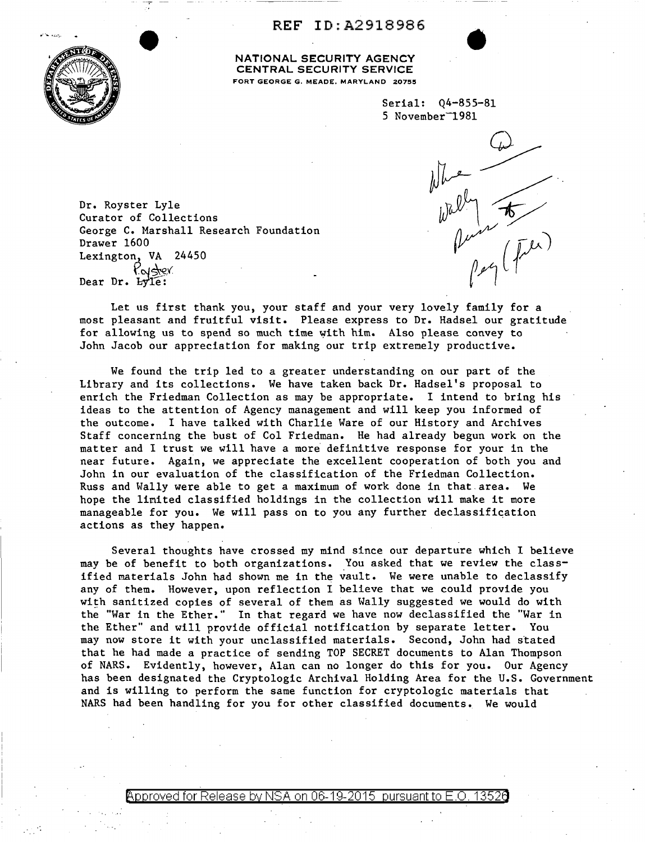**REF** ID:A2918986



**NATIONAL SECURITY AGENCY CENTRAL SECURITY SERVICE**  FORT GEORGE G. MEADE, MARYLAND 20755

> Serial: Q4-855-81 5 November<sup>-1981</sup>



•

Dr. Royster Lyle Curator of Collections George C. Marshall Research Foundation Drawer 1600 Lexington, VA 24450 Pear Dr. Hyle:

Let us first thank you, your staff and your very lovely family for a most pleasant and fruitful visit. Please express to Dr. Hadsel our gratitude for allowing us to spend so much time with him. Also please convey to John Jacob our appreciation for making our trip extremely productive.

We found the trip led to a greater understanding on our part of the Library and its collections. We have taken back Dr. Hadsel's proposal to enrich the Friedman Collection as may be appropriate. I intend to bring his ideas to the attention of Agency management and will keep you informed of the outcome. I have talked with Charlie Ware of our History and Archives Staff concerning the bust of Col Friedman. He had already begun work on the matter and I trust we will have a more definitive response for your in the near future. Again, we appreciate the excellent cooperation of both you and John in our evaluation of the classification of the Friedman Collection. Russ and Wally were able to get a maximum of work done in that.area. We hope the linited classified holdings in the collection will make it more manageable for you. We will pass on to you any further declassification actions as they happen.

Several thoughts have crossed my mind since our departure which I believe may be of benefit to both organizations. You asked that we review the classified materials John had shown me in the vault. We were unable to declassify any of them. However, upon reflection I believe that we could provide you with sanitized copies of several of them as Wally suggested we would do with the "War in the Ether." In that regard we have now declassified the "War in the Ether" and will provide official notification by separate letter. You may now store it with your unclassified materials. Second, John had stated that he had made a practice of sending TOP SECRET documents to Alan Thompson of NARS. Evidently, however, Alan can no longer do this for you. Our Agency has been designated the Cryptologic Archival Holding Area for the U.S. Government and is willing to perform the same function for cryptologic materials that NARS had been handling for you for other classified documents. We would

Approved for Release by NSA on 06-19-2015  $\,$  pursuant to E.O. 13526  $\,$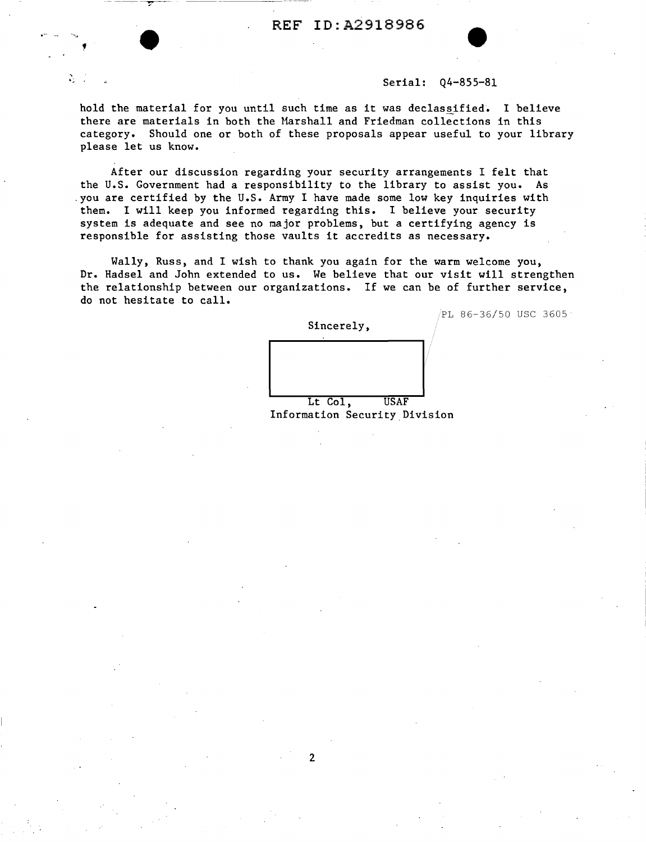## Serial: Q4-855-81

 $/PL$  86-36/50 USC 3605

hold the material for you until such time as it was declassified. I believe there are materials in both the Marshall and Friedman collections in this category. Should one or both of these proposals appear useful to your library please let us know.

·-..

A.

-- ---. --~-- ---- ----

After our discussion regarding your security arrangements I felt that the U.S. Government had a responsibility to the library to assist you. As .you are certified by the U.S. Army I have made some low key inquiries with them. I will keep you informed regarding this. I believe your security system is adequate and see no major problems, but a certifying agency is responsible for assisting those vaults it accredits as necessary.

Wally, Russ, and I wish to thank you again for the warm welcome you, Dr. Hadsel and John extended to us. We believe that our visit will strengthen the relationship between our organizations. If we can be of further service, do not hesitate to call.

> Sincerely, Lt Col. USAF

Information Security Division

2